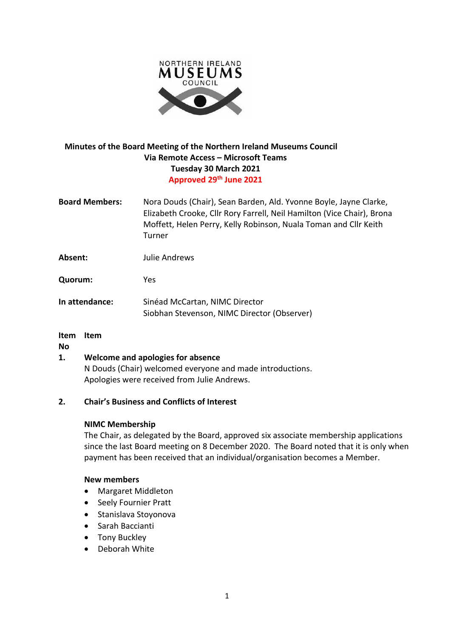

# **Minutes of the Board Meeting of the Northern Ireland Museums Council Via Remote Access – Microsoft Teams Tuesday 30 March 2021 Approved 29th June 2021**

**Board Members:** Nora Douds (Chair), Sean Barden, Ald. Yvonne Boyle, Jayne Clarke, Elizabeth Crooke, Cllr Rory Farrell, Neil Hamilton (Vice Chair), Brona Moffett, Helen Perry, Kelly Robinson, Nuala Toman and Cllr Keith Turner

**Absent:** Julie Andrews

**Quorum:** Yes

**In attendance:** Sinéad McCartan, NIMC Director Siobhan Stevenson, NIMC Director (Observer)

# **Item Item**

**No**

## **1. Welcome and apologies for absence**

N Douds (Chair) welcomed everyone and made introductions. Apologies were received from Julie Andrews.

# **2. Chair's Business and Conflicts of Interest**

# **NIMC Membership**

The Chair, as delegated by the Board, approved six associate membership applications since the last Board meeting on 8 December 2020. The Board noted that it is only when payment has been received that an individual/organisation becomes a Member.

## **New members**

- Margaret Middleton
- Seely Fournier Pratt
- Stanislava Stoyonova
- Sarah Baccianti
- Tony Buckley
- Deborah White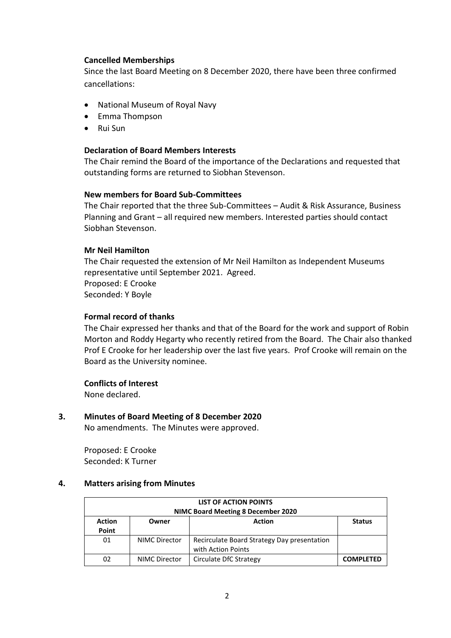#### **Cancelled Memberships**

Since the last Board Meeting on 8 December 2020, there have been three confirmed cancellations:

- National Museum of Royal Navy
- Emma Thompson
- Rui Sun

#### **Declaration of Board Members Interests**

The Chair remind the Board of the importance of the Declarations and requested that outstanding forms are returned to Siobhan Stevenson.

## **New members for Board Sub-Committees**

The Chair reported that the three Sub-Committees – Audit & Risk Assurance, Business Planning and Grant – all required new members. Interested parties should contact Siobhan Stevenson.

#### **Mr Neil Hamilton**

The Chair requested the extension of Mr Neil Hamilton as Independent Museums representative until September 2021. Agreed. Proposed: E Crooke Seconded: Y Boyle

#### **Formal record of thanks**

The Chair expressed her thanks and that of the Board for the work and support of Robin Morton and Roddy Hegarty who recently retired from the Board. The Chair also thanked Prof E Crooke for her leadership over the last five years. Prof Crooke will remain on the Board as the University nominee.

#### **Conflicts of Interest**

None declared.

# **3. Minutes of Board Meeting of 8 December 2020**

No amendments. The Minutes were approved.

Proposed: E Crooke Seconded: K Turner

## **4. Matters arising from Minutes**

| <b>LIST OF ACTION POINTS</b>       |                      |                                             |                  |  |  |
|------------------------------------|----------------------|---------------------------------------------|------------------|--|--|
| NIMC Board Meeting 8 December 2020 |                      |                                             |                  |  |  |
| <b>Action</b>                      | Owner                | <b>Action</b>                               | <b>Status</b>    |  |  |
| Point                              |                      |                                             |                  |  |  |
| 01                                 | NIMC Director        | Recirculate Board Strategy Day presentation |                  |  |  |
|                                    |                      | with Action Points                          |                  |  |  |
| 02                                 | <b>NIMC Director</b> | Circulate DfC Strategy                      | <b>COMPLETED</b> |  |  |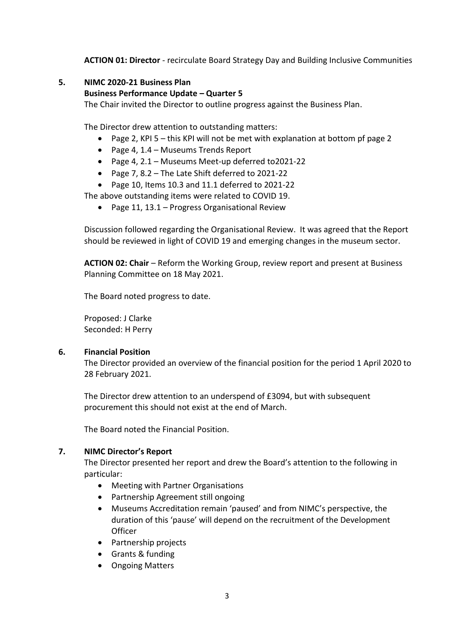**ACTION 01: Director** - recirculate Board Strategy Day and Building Inclusive Communities

## **5. NIMC 2020-21 Business Plan**

## **Business Performance Update – Quarter 5**

The Chair invited the Director to outline progress against the Business Plan.

The Director drew attention to outstanding matters:

- Page 2, KPI 5 this KPI will not be met with explanation at bottom pf page 2
- Page 4, 1.4 Museums Trends Report
- Page 4, 2.1 Museums Meet-up deferred to2021-22
- Page 7, 8.2 The Late Shift deferred to 2021-22

• Page 10, Items 10.3 and 11.1 deferred to 2021-22

The above outstanding items were related to COVID 19.

• Page 11, 13.1 – Progress Organisational Review

Discussion followed regarding the Organisational Review. It was agreed that the Report should be reviewed in light of COVID 19 and emerging changes in the museum sector.

**ACTION 02: Chair** – Reform the Working Group, review report and present at Business Planning Committee on 18 May 2021.

The Board noted progress to date.

Proposed: J Clarke Seconded: H Perry

## **6. Financial Position**

The Director provided an overview of the financial position for the period 1 April 2020 to 28 February 2021.

The Director drew attention to an underspend of £3094, but with subsequent procurement this should not exist at the end of March.

The Board noted the Financial Position.

## **7. NIMC Director's Report**

The Director presented her report and drew the Board's attention to the following in particular:

- Meeting with Partner Organisations
- Partnership Agreement still ongoing
- Museums Accreditation remain 'paused' and from NIMC's perspective, the duration of this 'pause' will depend on the recruitment of the Development **Officer**
- Partnership projects
- Grants & funding
- Ongoing Matters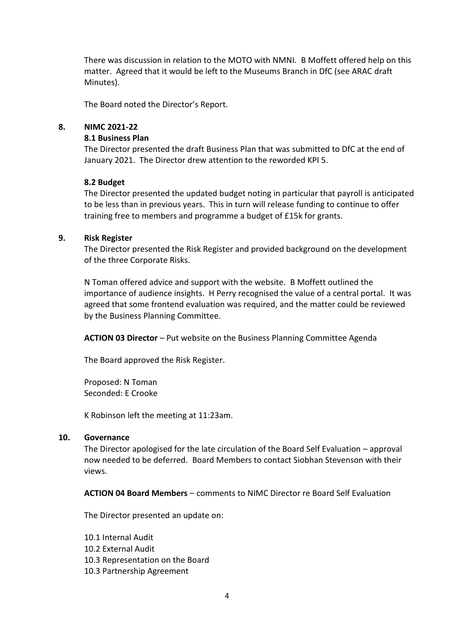There was discussion in relation to the MOTO with NMNI. B Moffett offered help on this matter. Agreed that it would be left to the Museums Branch in DfC (see ARAC draft Minutes).

The Board noted the Director's Report.

#### **8. NIMC 2021-22**

#### **8.1 Business Plan**

The Director presented the draft Business Plan that was submitted to DfC at the end of January 2021. The Director drew attention to the reworded KPI 5.

#### **8.2 Budget**

The Director presented the updated budget noting in particular that payroll is anticipated to be less than in previous years. This in turn will release funding to continue to offer training free to members and programme a budget of £15k for grants.

#### **9. Risk Register**

The Director presented the Risk Register and provided background on the development of the three Corporate Risks.

N Toman offered advice and support with the website. B Moffett outlined the importance of audience insights. H Perry recognised the value of a central portal. It was agreed that some frontend evaluation was required, and the matter could be reviewed by the Business Planning Committee.

**ACTION 03 Director** – Put website on the Business Planning Committee Agenda

The Board approved the Risk Register.

Proposed: N Toman Seconded: E Crooke

K Robinson left the meeting at 11:23am.

#### **10. Governance**

The Director apologised for the late circulation of the Board Self Evaluation – approval now needed to be deferred. Board Members to contact Siobhan Stevenson with their views.

**ACTION 04 Board Members** – comments to NIMC Director re Board Self Evaluation

The Director presented an update on:

- 10.1 Internal Audit 10.2 External Audit 10.3 Representation on the Board
- 10.3 Partnership Agreement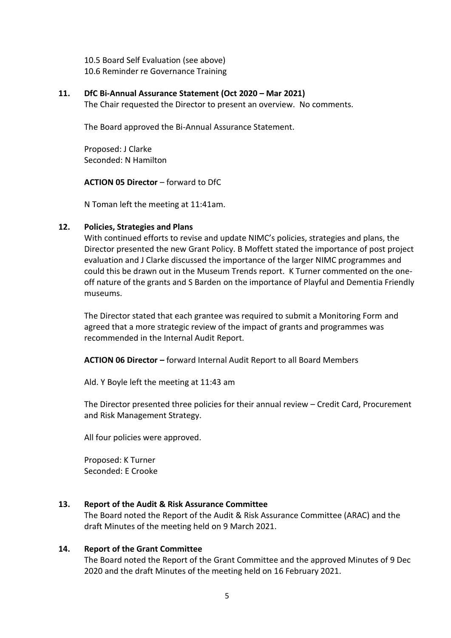10.5 Board Self Evaluation (see above) 10.6 Reminder re Governance Training

## **11. DfC Bi-Annual Assurance Statement (Oct 2020 – Mar 2021)**

The Chair requested the Director to present an overview. No comments.

The Board approved the Bi-Annual Assurance Statement.

Proposed: J Clarke Seconded: N Hamilton

**ACTION 05 Director** – forward to DfC

N Toman left the meeting at 11:41am.

#### **12. Policies, Strategies and Plans**

With continued efforts to revise and update NIMC's policies, strategies and plans, the Director presented the new Grant Policy. B Moffett stated the importance of post project evaluation and J Clarke discussed the importance of the larger NIMC programmes and could this be drawn out in the Museum Trends report. K Turner commented on the oneoff nature of the grants and S Barden on the importance of Playful and Dementia Friendly museums.

The Director stated that each grantee was required to submit a Monitoring Form and agreed that a more strategic review of the impact of grants and programmes was recommended in the Internal Audit Report.

**ACTION 06 Director –** forward Internal Audit Report to all Board Members

Ald. Y Boyle left the meeting at 11:43 am

The Director presented three policies for their annual review – Credit Card, Procurement and Risk Management Strategy.

All four policies were approved.

Proposed: K Turner Seconded: E Crooke

## **13. Report of the Audit & Risk Assurance Committee**

The Board noted the Report of the Audit & Risk Assurance Committee (ARAC) and the draft Minutes of the meeting held on 9 March 2021.

#### **14. Report of the Grant Committee**

The Board noted the Report of the Grant Committee and the approved Minutes of 9 Dec 2020 and the draft Minutes of the meeting held on 16 February 2021.